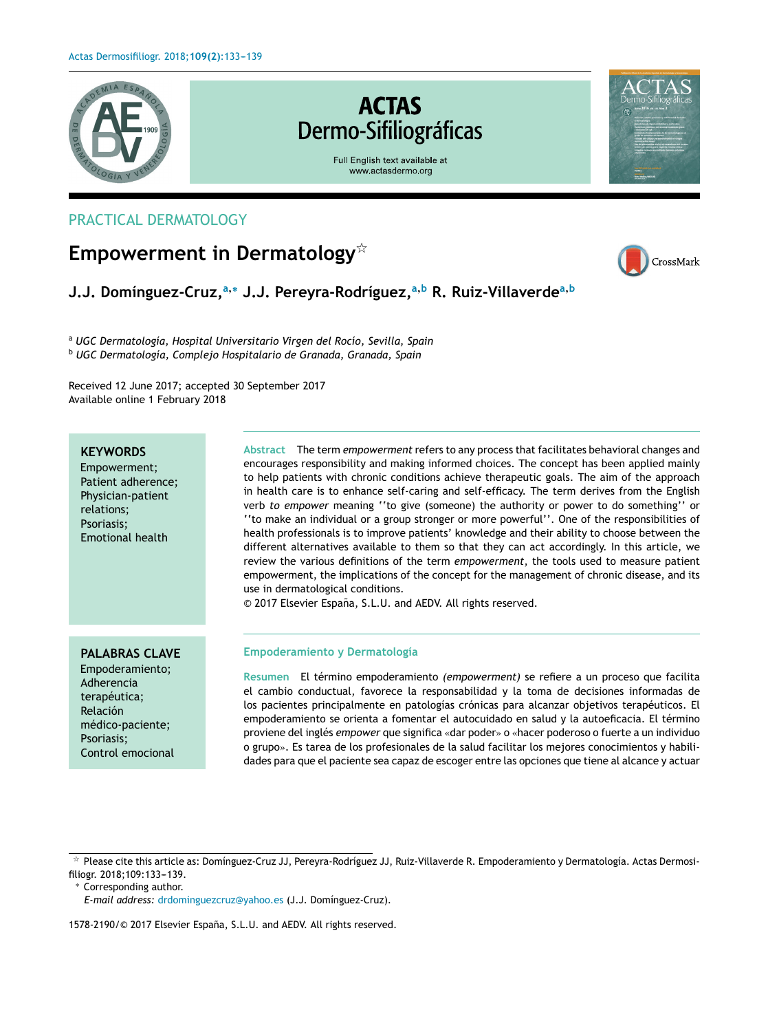

## PRACTICAL DERMATOLOGY

# **Empowerment in Dermatology**-



# **J.J. Domínguez-Cruz,<sup>a</sup>**,<sup>∗</sup> **J.J. Pereyra-Rodríguez,<sup>a</sup>**,**<sup>b</sup> R. Ruiz-Villaverde<sup>a</sup>**,**<sup>b</sup>**

<sup>a</sup> *UGC Dermatología, Hospital Universitario Virgen del Rocío, Sevilla, Spain* <sup>b</sup> *UGC Dermatología, Complejo Hospitalario de Granada, Granada, Spain*

Received 12 June 2017; accepted 30 September 2017 Available online 1 February 2018

## **KEYWORDS**

Empowerment; Patient adherence; Physician-patient relations; Psoriasis; Emotional health

**Abstract** The term *empowerment* refers to any process that facilitates behavioral changes and encourages responsibility and making informed choices. The concept has been applied mainly to help patients with chronic conditions achieve therapeutic goals. The aim of the approach in health care is to enhance self-caring and self-efficacy. The term derives from the English verb *to empower* meaning ''to give (someone) the authority or power to do something'' or ''to make an individual or a group stronger or more powerful''. One of the responsibilities of health professionals is to improve patients' knowledge and their ability to choose between the different alternatives available to them so that they can act accordingly. In this article, we review the various definitions of the term *empowerment*, the tools used to measure patient empowerment, the implications of the concept for the management of chronic disease, and its use in dermatological conditions.

© 2017 Elsevier España, S.L.U. and AEDV. All rights reserved.

#### **PALABRAS CLAVE**

Empoderamiento; Adherencia terapéutica; Relación médico-paciente; Psoriasis; Control emocional

#### **Empoderamiento y Dermatología**

**Resumen** El término empoderamiento *(empowerment)* se refiere a un proceso que facilita el cambio conductual, favorece la responsabilidad y la toma de decisiones informadas de los pacientes principalmente en patologías crónicas para alcanzar objetivos terapéuticos. El empoderamiento se orienta a fomentar el autocuidado en salud y la autoeficacia. El término proviene del inglés *empower* que significa «dar poder» o «hacer poderoso o fuerte a un individuo o grupo». Es tarea de los profesionales de la salud facilitar los mejores conocimientos y habilidades para que el paciente sea capaz de escoger entre las opciones que tiene al alcance y actuar

Corresponding author.

1578-2190/© 2017 Elsevier España, S.L.U. and AEDV. All rights reserved.

 $^\star$  Please cite this article as: Domínguez-Cruz JJ, Pereyra-Rodríguez JJ, Ruiz-Villaverde R. Empoderamiento y Dermatología. Actas Dermosifiliogr. 2018;109:133-139.

*E-mail address:* [drdominguezcruz@yahoo.es](mailto:drdominguezcruz@yahoo.es) (J.J. Domínguez-Cruz).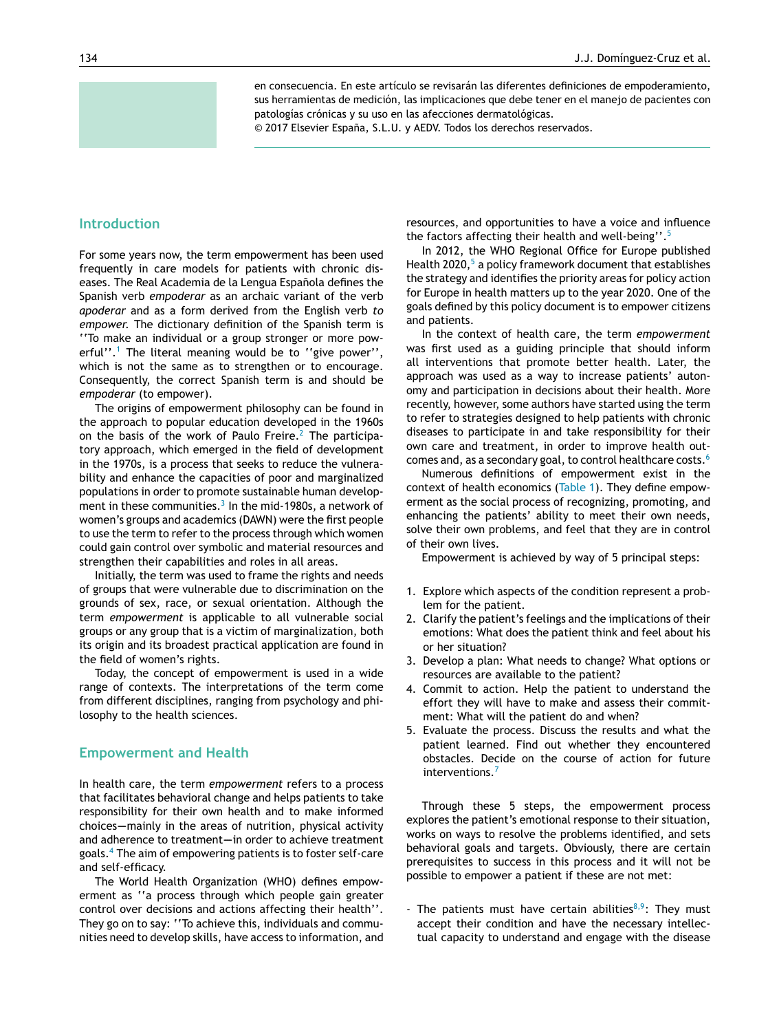en consecuencia. En este artículo se revisarán las diferentes definiciones de empoderamiento, sus herramientas de medición, las implicaciones que debe tener en el manejo de pacientes con patologías crónicas y su uso en las afecciones dermatológicas.

© 2017 Elsevier España, S.L.U. y AEDV. Todos los derechos reservados.

#### **Introduction**

For some years now, the term empowerment has been used frequently in care models for patients with chronic diseases. The Real Academia de la Lengua Española defines the Spanish verb *empoderar* as an archaic variant of the verb *apoderar* and as a form derived from the English verb *to empower.* The dictionary definition of the Spanish term is ''To make an individual or a group stronger or more pow-erful".<sup>[1](#page-5-0)</sup> The literal meaning would be to "give power", which is not the same as to strengthen or to encourage. Consequently, the correct Spanish term is and should be *empoderar* (to empower).

The origins of empowerment philosophy can be found in the approach to popular education developed in the 1960s on the basis of the work of Paulo Freire.<sup>[2](#page-5-0)</sup> The participatory approach, which emerged in the field of development in the 1970s, is a process that seeks to reduce the vulnerability and enhance the capacities of poor and marginalized populations in order to promote sustainable human develop-ment in these communities.<sup>3</sup> [In](#page-5-0) the mid-1980s, a network of women's groups and academics (DAWN) were the first people to use the term to refer to the process through which women could gain control over symbolic and material resources and strengthen their capabilities and roles in all areas.

Initially, the term was used to frame the rights and needs of groups that were vulnerable due to discrimination on the grounds of sex, race, or sexual orientation. Although the term *empowerment* is applicable to all vulnerable social groups or any group that is a victim of marginalization, both its origin and its broadest practical application are found in the field of women's rights.

Today, the concept of empowerment is used in a wide range of contexts. The interpretations of the term come from different disciplines, ranging from psychology and philosophy to the health sciences.

#### **Empowerment and Health**

In health care, the term *empowerment* refers to a process that facilitates behavioral change and helps patients to take responsibility for their own health and to make informed choices-mainly in the areas of nutrition, physical activity and adherence to treatment-in order to achieve treatment goals.<sup>4</sup> [T](#page-5-0)he aim of empowering patients is to foster self-care and self-efficacy.

The World Health Organization (WHO) defines empowerment as ''a process through which people gain greater control over decisions and actions affecting their health''. They go on to say: ''To achieve this, individuals and communities need to develop skills, have access to information, and resources, and opportunities to have a voice and influence the factors affecting their health and well-being''.[5](#page-5-0)

In 2012, the WHO Regional Office for Europe published He[a](#page-5-0)lth  $2020<sub>5</sub>$  a policy framework document that establishes the strategy and identifies the priority areas for policy action for Europe in health matters up to the year 2020. One of the goals defined by this policy document is to empower citizens and patients.

In the context of health care, the term *empowerment* was first used as a guiding principle that should inform all interventions that promote better health. Later, the approach was used as a way to increase patients' autonomy and participation in decisions about their health. More recently, however, some authors have started using the term to refer to strategies designed to help patients with chronic diseases to participate in and take responsibility for their own care and treatment, in order to improve health out-comes and, as a secondary goal, to control healthcare costs.<sup>[6](#page-5-0)</sup>

Numerous definitions of empowerment exist in the context of health economics ([Table](#page-2-0) 1). They define empowerment as the social process of recognizing, promoting, and enhancing the patients' ability to meet their own needs, solve their own problems, and feel that they are in control of their own lives.

Empowerment is achieved by way of 5 principal steps:

- 1. Explore which aspects of the condition represent a problem for the patient.
- 2. Clarify the patient's feelings and the implications of their emotions: What does the patient think and feel about his or her situation?
- 3. Develop a plan: What needs to change? What options or resources are available to the patient?
- 4. Commit to action. Help the patient to understand the effort they will have to make and assess their commitment: What will the patient do and when?
- 5. Evaluate the process. Discuss the results and what the patient learned. Find out whether they encountered obstacles. Decide on the course of action for future interventions.<sup>[7](#page-5-0)</sup>

Through these 5 steps, the empowerment process explores the patient's emotional response to their situation, works on ways to resolve the problems identified, and sets behavioral goals and targets. Obviously, there are certain prerequisites to success in this process and it will not be possible to empower a patient if these are not met:

- The patients must have certain abilities $8.9$ : They must accept their condition and have the necessary intellectual capacity to understand and engage with the disease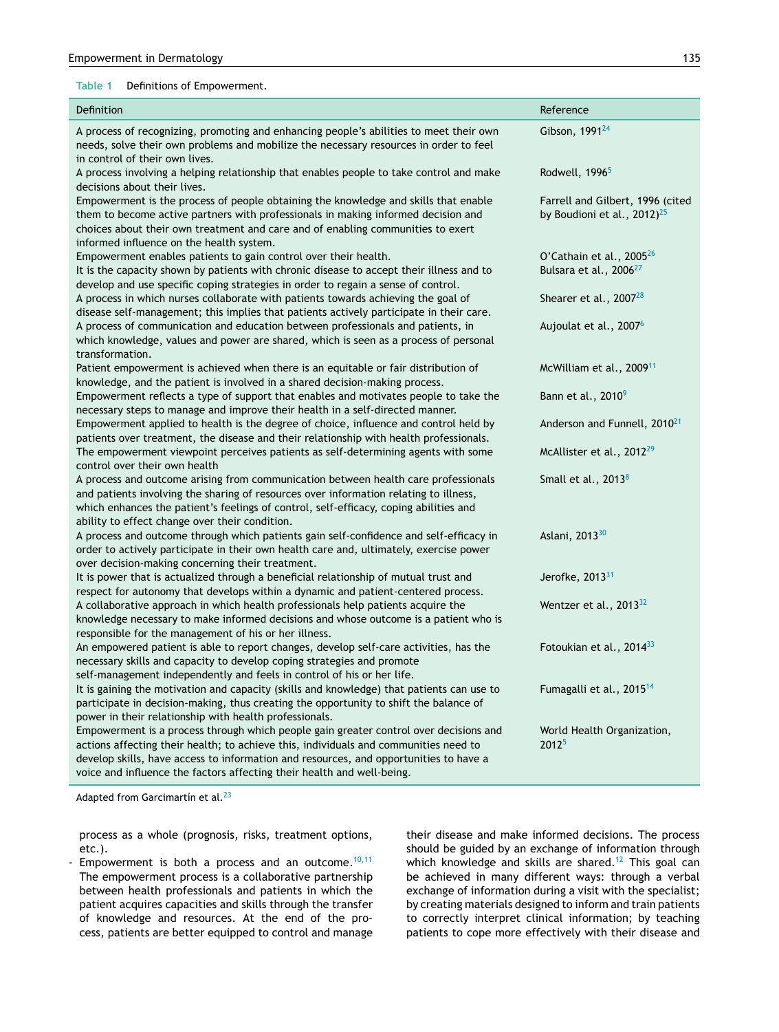#### <span id="page-2-0"></span>**Table 1** Definitions of Empowerment.

| Definition                                                                                                                                                                                                                                                                                                                                       | Reference                                                                  |
|--------------------------------------------------------------------------------------------------------------------------------------------------------------------------------------------------------------------------------------------------------------------------------------------------------------------------------------------------|----------------------------------------------------------------------------|
| A process of recognizing, promoting and enhancing people's abilities to meet their own<br>needs, solve their own problems and mobilize the necessary resources in order to feel<br>in control of their own lives.                                                                                                                                | Gibson, 1991 <sup>24</sup>                                                 |
| A process involving a helping relationship that enables people to take control and make<br>decisions about their lives.                                                                                                                                                                                                                          | Rodwell, 1996 <sup>5</sup>                                                 |
| Empowerment is the process of people obtaining the knowledge and skills that enable<br>them to become active partners with professionals in making informed decision and<br>choices about their own treatment and care and of enabling communities to exert<br>informed influence on the health system.                                          | Farrell and Gilbert, 1996 (cited<br>by Boudioni et al., $2012)^{25}$       |
| Empowerment enables patients to gain control over their health.<br>It is the capacity shown by patients with chronic disease to accept their illness and to<br>develop and use specific coping strategies in order to regain a sense of control.                                                                                                 | O'Cathain et al., 2005 <sup>26</sup><br>Bulsara et al., 2006 <sup>27</sup> |
| A process in which nurses collaborate with patients towards achieving the goal of<br>disease self-management; this implies that patients actively participate in their care.                                                                                                                                                                     | Shearer et al., 2007 <sup>28</sup>                                         |
| A process of communication and education between professionals and patients, in<br>which knowledge, values and power are shared, which is seen as a process of personal<br>transformation.                                                                                                                                                       | Aujoulat et al., 2007 <sup>6</sup>                                         |
| Patient empowerment is achieved when there is an equitable or fair distribution of<br>knowledge, and the patient is involved in a shared decision-making process.                                                                                                                                                                                | McWilliam et al., 2009 <sup>11</sup>                                       |
| Empowerment reflects a type of support that enables and motivates people to take the<br>necessary steps to manage and improve their health in a self-directed manner.                                                                                                                                                                            | Bann et al., 2010 <sup>9</sup>                                             |
| Empowerment applied to health is the degree of choice, influence and control held by<br>patients over treatment, the disease and their relationship with health professionals.                                                                                                                                                                   | Anderson and Funnell, 2010 <sup>21</sup>                                   |
| The empowerment viewpoint perceives patients as self-determining agents with some<br>control over their own health                                                                                                                                                                                                                               | McAllister et al., 2012 <sup>29</sup>                                      |
| A process and outcome arising from communication between health care professionals<br>and patients involving the sharing of resources over information relating to illness,<br>which enhances the patient's feelings of control, self-efficacy, coping abilities and<br>ability to effect change over their condition.                           | Small et al., 2013 <sup>8</sup>                                            |
| A process and outcome through which patients gain self-confidence and self-efficacy in<br>order to actively participate in their own health care and, ultimately, exercise power<br>over decision-making concerning their treatment.                                                                                                             | Aslani, 2013 <sup>30</sup>                                                 |
| It is power that is actualized through a beneficial relationship of mutual trust and<br>respect for autonomy that develops within a dynamic and patient-centered process.                                                                                                                                                                        | Jerofke, 2013 <sup>31</sup>                                                |
| A collaborative approach in which health professionals help patients acquire the<br>knowledge necessary to make informed decisions and whose outcome is a patient who is<br>responsible for the management of his or her illness.                                                                                                                | Wentzer et al., $2013^{32}$                                                |
| An empowered patient is able to report changes, develop self-care activities, has the<br>necessary skills and capacity to develop coping strategies and promote<br>self-management independently and feels in control of his or her life.                                                                                                        | Fotoukian et al., 2014 <sup>33</sup>                                       |
| It is gaining the motivation and capacity (skills and knowledge) that patients can use to<br>participate in decision-making, thus creating the opportunity to shift the balance of<br>power in their relationship with health professionals.                                                                                                     | Fumagalli et al., 2015 <sup>14</sup>                                       |
| Empowerment is a process through which people gain greater control over decisions and<br>actions affecting their health; to achieve this, individuals and communities need to<br>develop skills, have access to information and resources, and opportunities to have a<br>voice and influence the factors affecting their health and well-being. | World Health Organization,<br>2012 <sup>5</sup>                            |

Adapted from Garcimartín et al.<sup>[23](#page-5-0)</sup>

process as a whole (prognosis, risks, treatment options, etc.).

Empowerment is both a process and an outcome. $10,11$ The empowerment process is a collaborative partnership between health professionals and patients in which the patient acquires capacities and skills through the transfer of knowledge and resources. At the end of the process, patients are better equipped to control and manage their disease and make informed decisions. The process should be guided by an exchange of information through which knowledge and skills are shared.<sup>[12](#page-5-0)</sup> This goal can be achieved in many different ways: through a verbal exchange of information during a visit with the specialist; by creating materials designed to inform and train patients to correctly interpret clinical information; by teaching patients to cope more effectively with their disease and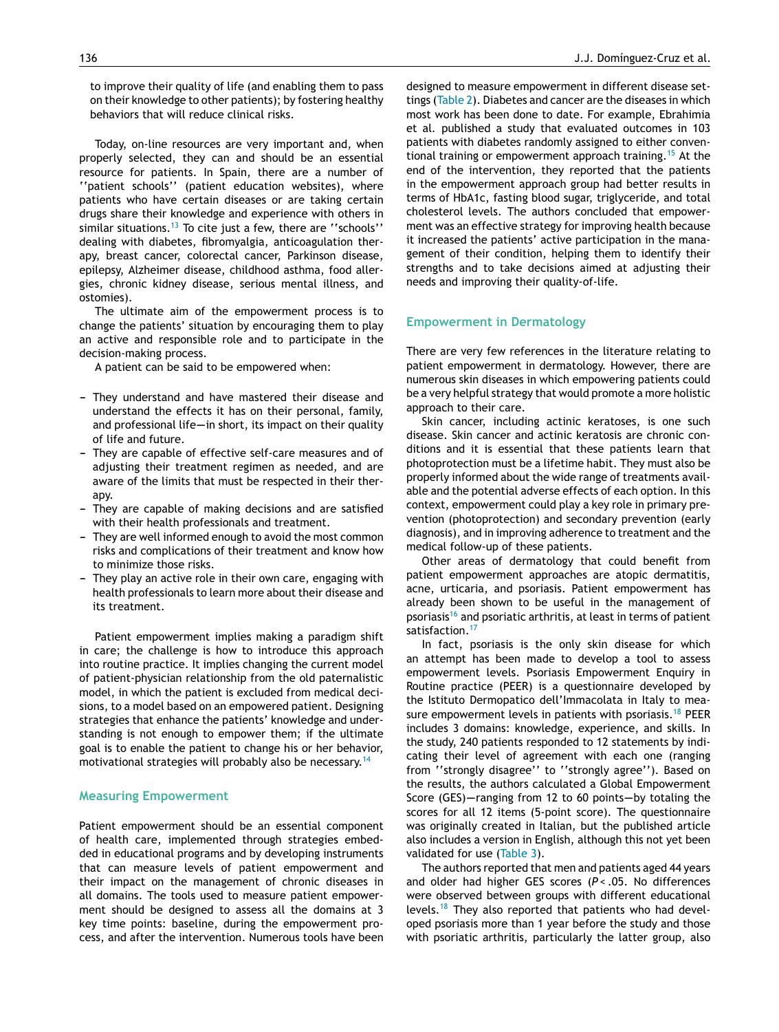to improve their quality of life (and enabling them to pass on their knowledge to other patients); by fostering healthy behaviors that will reduce clinical risks.

Today, on-line resources are very important and, when properly selected, they can and should be an essential resource for patients. In Spain, there are a number of ''patient schools'' (patient education websites), where patients who have certain diseases or are taking certain drugs share their knowledge and experience with others in similar situations.<sup>[13](#page-5-0)</sup> To cite just a few, there are "schools" dealing with diabetes, fibromyalgia, anticoagulation therapy, breast cancer, colorectal cancer, Parkinson disease, epilepsy, Alzheimer disease, childhood asthma, food allergies, chronic kidney disease, serious mental illness, and ostomies).

The ultimate aim of the empowerment process is to change the patients' situation by encouraging them to play an active and responsible role and to participate in the decision-making process.

A patient can be said to be empowered when:

- They understand and have mastered their disease and understand the effects it has on their personal, family, and professional life-in short, its impact on their quality of life and future.
- They are capable of effective self-care measures and of adjusting their treatment regimen as needed, and are aware of the limits that must be respected in their therapy.
- They are capable of making decisions and are satisfied with their health professionals and treatment.
- They are well informed enough to avoid the most common risks and complications of their treatment and know how to minimize those risks.
- They play an active role in their own care, engaging with health professionals to learn more about their disease and its treatment.

Patient empowerment implies making a paradigm shift in care; the challenge is how to introduce this approach into routine practice. It implies changing the current model of patient-physician relationship from the old paternalistic model, in which the patient is excluded from medical decisions, to a model based on an empowered patient. Designing strategies that enhance the patients' knowledge and understanding is not enough to empower them; if the ultimate goal is to enable the patient to change his or her behavior, motivational strategies will probably also be necessary.<sup>[14](#page-5-0)</sup>

#### **Measuring Empowerment**

Patient empowerment should be an essential component of health care, implemented through strategies embedded in educational programs and by developing instruments that can measure levels of patient empowerment and their impact on the management of chronic diseases in all domains. The tools used to measure patient empowerment should be designed to assess all the domains at 3 key time points: baseline, during the empowerment process, and after the intervention. Numerous tools have been

tings [\(Table](#page-4-0) 2). Diabetes and cancer are the diseases in which most work has been done to date. For example, Ebrahimia et al*.* published a study that evaluated outcomes in 103 patients with diabetes randomly assigned to either conven-tional training or empowerment approach training.<sup>[15](#page-5-0)</sup> At the end of the intervention, they reported that the patients in the empowerment approach group had better results in terms of HbA1c, fasting blood sugar, triglyceride, and total cholesterol levels. The authors concluded that empowerment was an effective strategy for improving health because it increased the patients' active participation in the management of their condition, helping them to identify their strengths and to take decisions aimed at adjusting their needs and improving their quality-of-life.

#### **Empowerment in Dermatology**

There are very few references in the literature relating to patient empowerment in dermatology. However, there are numerous skin diseases in which empowering patients could be a very helpful strategy that would promote a more holistic approach to their care.

Skin cancer, including actinic keratoses, is one such disease. Skin cancer and actinic keratosis are chronic conditions and it is essential that these patients learn that photoprotection must be a lifetime habit. They must also be properly informed about the wide range of treatments available and the potential adverse effects of each option. In this context, empowerment could play a key role in primary prevention (photoprotection) and secondary prevention (early diagnosis), and in improving adherence to treatment and the medical follow-up of these patients.

Other areas of dermatology that could benefit from patient empowerment approaches are atopic dermatitis, acne, urticaria, and psoriasis. Patient empowerment has already been shown to be useful in the management of psoriasis<sup>[16](#page-5-0)</sup> and psoriatic arthritis, at least in terms of patient satisfaction.<sup>[17](#page-5-0)</sup>

In fact, psoriasis is the only skin disease for which an attempt has been made to develop a tool to assess empowerment levels. Psoriasis Empowerment Enquiry in Routine practice (PEER) is a questionnaire developed by the Istituto Dermopatico dell'Immacolata in Italy to mea-sure empowerment levels in patients with psoriasis.<sup>[18](#page-5-0)</sup> PEER includes 3 domains: knowledge, experience, and skills. In the study, 240 patients responded to 12 statements by indicating their level of agreement with each one (ranging from ''strongly disagree'' to ''strongly agree''). Based on the results, the authors calculated a Global Empowerment Score (GES)-ranging from 12 to 60 points--by totaling the scores for all 12 items (5-point score). The questionnaire was originally created in Italian, but the published article also includes a version in English, although this not yet been validated for use ([Table](#page-5-0) 3).

The authors reported that men and patients aged 44 years and older had higher GES scores (*P* < .05. No differences were observed between groups with different educational levels.<sup>[18](#page-5-0)</sup> They also reported that patients who had developed psoriasis more than 1 year before the study and those with psoriatic arthritis, particularly the latter group, also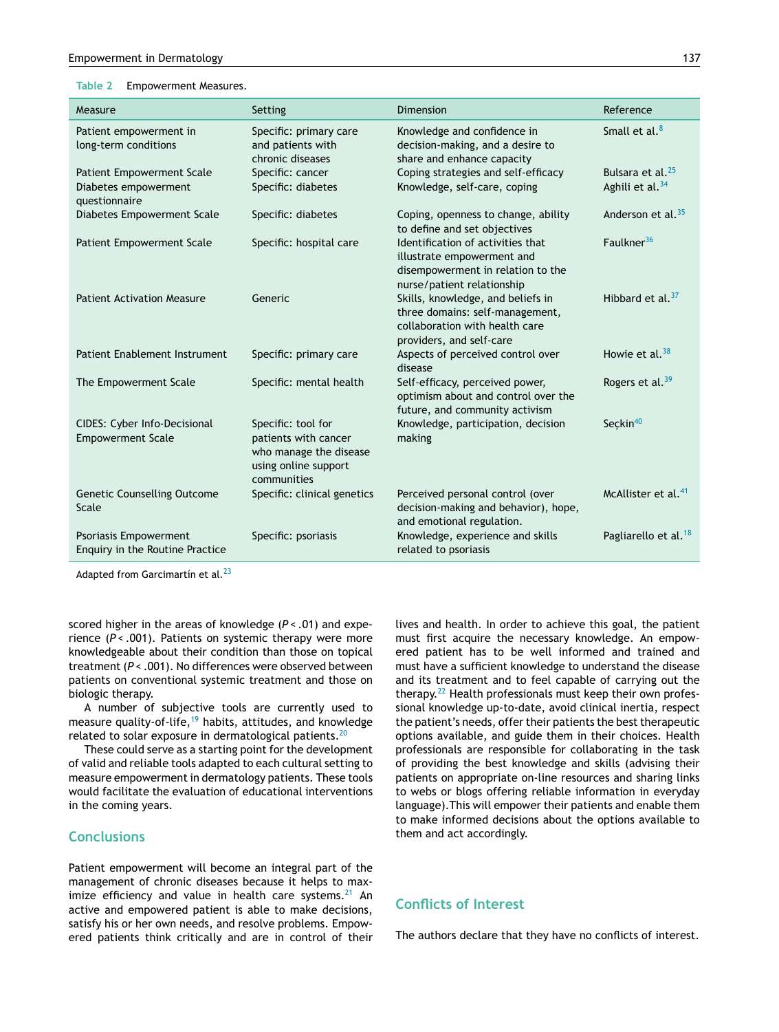#### <span id="page-4-0"></span>**Table 2** Empowerment Measures.

| Measure                                                            | Setting                                                                                                     | Dimension                                                                                                                          | Reference                                                   |
|--------------------------------------------------------------------|-------------------------------------------------------------------------------------------------------------|------------------------------------------------------------------------------------------------------------------------------------|-------------------------------------------------------------|
| Patient empowerment in<br>long-term conditions                     | Specific: primary care<br>and patients with<br>chronic diseases                                             | Knowledge and confidence in<br>decision-making, and a desire to<br>share and enhance capacity                                      | Small et al. $8$                                            |
| Patient Empowerment Scale<br>Diabetes empowerment<br>questionnaire | Specific: cancer<br>Specific: diabetes                                                                      | Coping strategies and self-efficacy<br>Knowledge, self-care, coping                                                                | Bulsara et al. <sup>25</sup><br>Aghili et al. <sup>34</sup> |
| Diabetes Empowerment Scale                                         | Specific: diabetes                                                                                          | Coping, openness to change, ability<br>to define and set objectives                                                                | Anderson et al. $35$                                        |
| Patient Empowerment Scale                                          | Specific: hospital care                                                                                     | Identification of activities that<br>illustrate empowerment and<br>disempowerment in relation to the<br>nurse/patient relationship | Faulkner <sup>36</sup>                                      |
| <b>Patient Activation Measure</b>                                  | Generic                                                                                                     | Skills, knowledge, and beliefs in<br>three domains: self-management,<br>collaboration with health care<br>providers, and self-care | Hibbard et al. $37$                                         |
| <b>Patient Enablement Instrument</b>                               | Specific: primary care                                                                                      | Aspects of perceived control over<br>disease                                                                                       | Howie et al. $38$                                           |
| The Empowerment Scale                                              | Specific: mental health                                                                                     | Self-efficacy, perceived power,<br>optimism about and control over the<br>future, and community activism                           | Rogers et al. <sup>39</sup>                                 |
| CIDES: Cyber Info-Decisional<br><b>Empowerment Scale</b>           | Specific: tool for<br>patients with cancer<br>who manage the disease<br>using online support<br>communities | Knowledge, participation, decision<br>making                                                                                       | Seckin <sup>40</sup>                                        |
| <b>Genetic Counselling Outcome</b><br>Scale                        | Specific: clinical genetics                                                                                 | Perceived personal control (over<br>decision-making and behavior), hope,<br>and emotional regulation.                              | McAllister et al. <sup>41</sup>                             |
| <b>Psoriasis Empowerment</b><br>Enquiry in the Routine Practice    | Specific: psoriasis                                                                                         | Knowledge, experience and skills<br>related to psoriasis                                                                           | Pagliarello et al. <sup>18</sup>                            |

Adapted from Garcimartín et al*.* [23](#page-5-0)

scored higher in the areas of knowledge (*P* < .01) and experience (*P* < .001). Patients on systemic therapy were more knowledgeable about their condition than those on topical treatment (*P* < .001). No differences were observed between patients on conventional systemic treatment and those on biologic therapy.

A number of subjective tools are currently used to measure quality-of-life,<sup>[19](#page-5-0)</sup> habits, attitudes, and knowledge related to solar exposure in dermatological patients.<sup>[20](#page-5-0)</sup>

These could serve as a starting point for the development of valid and reliable tools adapted to each cultural setting to measure empowerment in dermatology patients. These tools would facilitate the evaluation of educational interventions in the coming years.

### **Conclusions**

Patient empowerment will become an integral part of the management of chronic diseases because it helps to maximize efficiency and value in health care systems. $21$  An active and empowered patient is able to make decisions, satisfy his or her own needs, and resolve problems. Empowered patients think critically and are in control of their lives and health. In order to achieve this goal, the patient must first acquire the necessary knowledge. An empowered patient has to be well informed and trained and must have a sufficient knowledge to understand the disease and its treatment and to feel capable of carrying out the therapy. $22$  Health professionals must keep their own professional knowledge up-to-date, avoid clinical inertia, respect the patient's needs, offer their patients the best therapeutic options available, and guide them in their choices. Health professionals are responsible for collaborating in the task of providing the best knowledge and skills (advising their patients on appropriate on-line resources and sharing links to webs or blogs offering reliable information in everyday language).This will empower their patients and enable them to make informed decisions about the options available to them and act accordingly.

#### **Conflicts of Interest**

The authors declare that they have no conflicts of interest.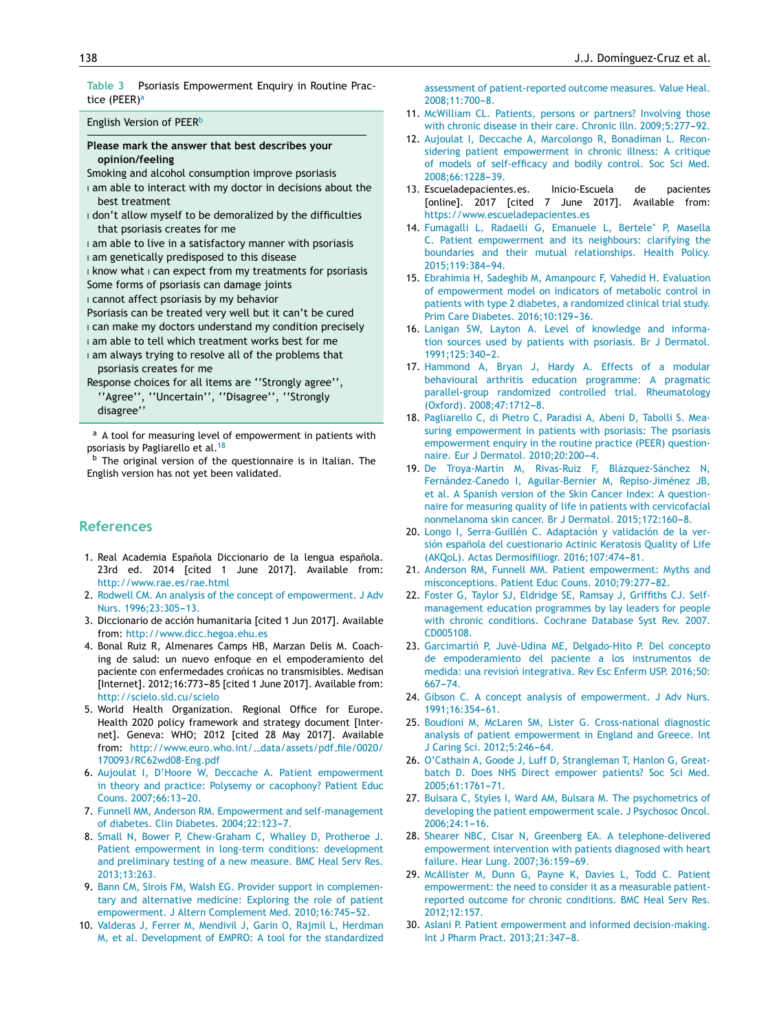<span id="page-5-0"></span>**Table 3** Psoriasis Empowerment Enquiry in Routine Practice (PEER)<sup>a</sup>

#### English Version of PEER $b$

#### **Please mark the answer that best describes your opinion/feeling**

- Smoking and alcohol consumption improve psoriasis I am able to interact with my doctor in decisions about the
- best treatment
- I don't allow myself to be demoralized by the difficulties that psoriasis creates for me
- I am able to live in a satisfactory manner with psoriasis I am genetically predisposed to this disease
- I know what I can expect from my treatments for psoriasis Some forms of psoriasis can damage joints
- I cannot affect psoriasis by my behavior

Psoriasis can be treated very well but it can't be cured I can make my doctors understand my condition precisely

- I am able to tell which treatment works best for me
- I am always trying to resolve all of the problems that psoriasis creates for me
- Response choices for all items are ''Strongly agree'', ''Agree'', ''Uncertain'', ''Disagree'', ''Strongly disagree''

<sup>a</sup> A tool for measuring level of empowerment in patients with psoriasis by Pagliarello et al.<sup>18</sup>

b The original version of the questionnaire is in Italian. The English version has not yet been validated.

## **References**

- 1. Real Academia Española Diccionario de la lengua española. 23rd ed. 2014 [cited 1 June 2017]. Available from: <http://www.rae.es/rae.html>
- 2. [Rodwell](http://refhub.elsevier.com/S1578-2190(17)30420-1/sbref0215) [CM.](http://refhub.elsevier.com/S1578-2190(17)30420-1/sbref0215) [An](http://refhub.elsevier.com/S1578-2190(17)30420-1/sbref0215) [analysis](http://refhub.elsevier.com/S1578-2190(17)30420-1/sbref0215) [of](http://refhub.elsevier.com/S1578-2190(17)30420-1/sbref0215) [the](http://refhub.elsevier.com/S1578-2190(17)30420-1/sbref0215) [concept](http://refhub.elsevier.com/S1578-2190(17)30420-1/sbref0215) [of](http://refhub.elsevier.com/S1578-2190(17)30420-1/sbref0215) [empowerment.](http://refhub.elsevier.com/S1578-2190(17)30420-1/sbref0215) [J](http://refhub.elsevier.com/S1578-2190(17)30420-1/sbref0215) [Adv](http://refhub.elsevier.com/S1578-2190(17)30420-1/sbref0215) [Nurs.](http://refhub.elsevier.com/S1578-2190(17)30420-1/sbref0215) [1996;23:305](http://refhub.elsevier.com/S1578-2190(17)30420-1/sbref0215)-[13.](http://refhub.elsevier.com/S1578-2190(17)30420-1/sbref0215)
- 3. Diccionario de acción humanitaria [cited 1 Jun 2017]. Available from: <http://www.dicc.hegoa.ehu.es>
- 4. Bonal Ruiz R, Almenares Camps HB, Marzan Delis M. Coaching de salud: un nuevo enfoque en el empoderamiento del paciente con enfermedades crońicas no transmisibles. Medisan [Internet]. 2012;16:773-85 [cited 1 June 2017]. Available from: <http://scielo.sld.cu/scielo>
- 5. World Health Organization. Regional Office for Europe. Health 2020 policy framework and strategy document [Internet]. Geneva: WHO; 2012 [cited 28 May 2017]. Available from: [http://www.euro.who.int/](http://www.euro.who.int/__data/assets/pdf_file/0020/170093/RC62wd08-Eng.pdf)\_data/assets/pdf\_file/0020/ [170093/RC62wd08-Eng.pdf](http://www.euro.who.int/__data/assets/pdf_file/0020/170093/RC62wd08-Eng.pdf)
- 6. [Aujoulat](http://refhub.elsevier.com/S1578-2190(17)30420-1/sbref0235) [I,](http://refhub.elsevier.com/S1578-2190(17)30420-1/sbref0235) [D'Hoore](http://refhub.elsevier.com/S1578-2190(17)30420-1/sbref0235) [W,](http://refhub.elsevier.com/S1578-2190(17)30420-1/sbref0235) [Deccache](http://refhub.elsevier.com/S1578-2190(17)30420-1/sbref0235) [A.](http://refhub.elsevier.com/S1578-2190(17)30420-1/sbref0235) [Patient](http://refhub.elsevier.com/S1578-2190(17)30420-1/sbref0235) [empowerment](http://refhub.elsevier.com/S1578-2190(17)30420-1/sbref0235) [in](http://refhub.elsevier.com/S1578-2190(17)30420-1/sbref0235) [theory](http://refhub.elsevier.com/S1578-2190(17)30420-1/sbref0235) [and](http://refhub.elsevier.com/S1578-2190(17)30420-1/sbref0235) [practice:](http://refhub.elsevier.com/S1578-2190(17)30420-1/sbref0235) [Polysemy](http://refhub.elsevier.com/S1578-2190(17)30420-1/sbref0235) [or](http://refhub.elsevier.com/S1578-2190(17)30420-1/sbref0235) [cacophony?](http://refhub.elsevier.com/S1578-2190(17)30420-1/sbref0235) [Patient](http://refhub.elsevier.com/S1578-2190(17)30420-1/sbref0235) [Educ](http://refhub.elsevier.com/S1578-2190(17)30420-1/sbref0235) [Couns.](http://refhub.elsevier.com/S1578-2190(17)30420-1/sbref0235) 2007;66:13-20.
- 7. [Funnell](http://refhub.elsevier.com/S1578-2190(17)30420-1/sbref0240) [MM,](http://refhub.elsevier.com/S1578-2190(17)30420-1/sbref0240) [Anderson](http://refhub.elsevier.com/S1578-2190(17)30420-1/sbref0240) [RM.](http://refhub.elsevier.com/S1578-2190(17)30420-1/sbref0240) [Empowerment](http://refhub.elsevier.com/S1578-2190(17)30420-1/sbref0240) [and](http://refhub.elsevier.com/S1578-2190(17)30420-1/sbref0240) [self-management](http://refhub.elsevier.com/S1578-2190(17)30420-1/sbref0240) [of](http://refhub.elsevier.com/S1578-2190(17)30420-1/sbref0240) [diabetes.](http://refhub.elsevier.com/S1578-2190(17)30420-1/sbref0240) [Clin](http://refhub.elsevier.com/S1578-2190(17)30420-1/sbref0240) [Diabetes.](http://refhub.elsevier.com/S1578-2190(17)30420-1/sbref0240) 2004;22:123-7.
- 8. [Small](http://refhub.elsevier.com/S1578-2190(17)30420-1/sbref0245) [N,](http://refhub.elsevier.com/S1578-2190(17)30420-1/sbref0245) [Bower](http://refhub.elsevier.com/S1578-2190(17)30420-1/sbref0245) [P,](http://refhub.elsevier.com/S1578-2190(17)30420-1/sbref0245) [Chew-Graham](http://refhub.elsevier.com/S1578-2190(17)30420-1/sbref0245) [C,](http://refhub.elsevier.com/S1578-2190(17)30420-1/sbref0245) [Whalley](http://refhub.elsevier.com/S1578-2190(17)30420-1/sbref0245) [D,](http://refhub.elsevier.com/S1578-2190(17)30420-1/sbref0245) [Protheroe](http://refhub.elsevier.com/S1578-2190(17)30420-1/sbref0245) [J.](http://refhub.elsevier.com/S1578-2190(17)30420-1/sbref0245) [Patient](http://refhub.elsevier.com/S1578-2190(17)30420-1/sbref0245) [empowerment](http://refhub.elsevier.com/S1578-2190(17)30420-1/sbref0245) [in](http://refhub.elsevier.com/S1578-2190(17)30420-1/sbref0245) [long-term](http://refhub.elsevier.com/S1578-2190(17)30420-1/sbref0245) [conditions:](http://refhub.elsevier.com/S1578-2190(17)30420-1/sbref0245) [development](http://refhub.elsevier.com/S1578-2190(17)30420-1/sbref0245) [and](http://refhub.elsevier.com/S1578-2190(17)30420-1/sbref0245) [preliminary](http://refhub.elsevier.com/S1578-2190(17)30420-1/sbref0245) [testing](http://refhub.elsevier.com/S1578-2190(17)30420-1/sbref0245) [of](http://refhub.elsevier.com/S1578-2190(17)30420-1/sbref0245) [a](http://refhub.elsevier.com/S1578-2190(17)30420-1/sbref0245) [new](http://refhub.elsevier.com/S1578-2190(17)30420-1/sbref0245) [measure.](http://refhub.elsevier.com/S1578-2190(17)30420-1/sbref0245) [BMC](http://refhub.elsevier.com/S1578-2190(17)30420-1/sbref0245) [Heal](http://refhub.elsevier.com/S1578-2190(17)30420-1/sbref0245) [Serv](http://refhub.elsevier.com/S1578-2190(17)30420-1/sbref0245) [Res.](http://refhub.elsevier.com/S1578-2190(17)30420-1/sbref0245) [2013;13:263.](http://refhub.elsevier.com/S1578-2190(17)30420-1/sbref0245)
- 9. [Bann](http://refhub.elsevier.com/S1578-2190(17)30420-1/sbref0250) [CM,](http://refhub.elsevier.com/S1578-2190(17)30420-1/sbref0250) [Sirois](http://refhub.elsevier.com/S1578-2190(17)30420-1/sbref0250) [FM,](http://refhub.elsevier.com/S1578-2190(17)30420-1/sbref0250) [Walsh](http://refhub.elsevier.com/S1578-2190(17)30420-1/sbref0250) [EG.](http://refhub.elsevier.com/S1578-2190(17)30420-1/sbref0250) [Provider](http://refhub.elsevier.com/S1578-2190(17)30420-1/sbref0250) [support](http://refhub.elsevier.com/S1578-2190(17)30420-1/sbref0250) [in](http://refhub.elsevier.com/S1578-2190(17)30420-1/sbref0250) [complemen](http://refhub.elsevier.com/S1578-2190(17)30420-1/sbref0250)[tary](http://refhub.elsevier.com/S1578-2190(17)30420-1/sbref0250) [and](http://refhub.elsevier.com/S1578-2190(17)30420-1/sbref0250) [alternative](http://refhub.elsevier.com/S1578-2190(17)30420-1/sbref0250) [medicine:](http://refhub.elsevier.com/S1578-2190(17)30420-1/sbref0250) [Exploring](http://refhub.elsevier.com/S1578-2190(17)30420-1/sbref0250) [the](http://refhub.elsevier.com/S1578-2190(17)30420-1/sbref0250) [role](http://refhub.elsevier.com/S1578-2190(17)30420-1/sbref0250) [of](http://refhub.elsevier.com/S1578-2190(17)30420-1/sbref0250) [patient](http://refhub.elsevier.com/S1578-2190(17)30420-1/sbref0250) [empowerment.](http://refhub.elsevier.com/S1578-2190(17)30420-1/sbref0250) [J](http://refhub.elsevier.com/S1578-2190(17)30420-1/sbref0250) [Altern](http://refhub.elsevier.com/S1578-2190(17)30420-1/sbref0250) [Complement](http://refhub.elsevier.com/S1578-2190(17)30420-1/sbref0250) [Med.](http://refhub.elsevier.com/S1578-2190(17)30420-1/sbref0250) 2010;16:745-52.
- 10. [Valderas](http://refhub.elsevier.com/S1578-2190(17)30420-1/sbref0255) [J,](http://refhub.elsevier.com/S1578-2190(17)30420-1/sbref0255) [Ferrer](http://refhub.elsevier.com/S1578-2190(17)30420-1/sbref0255) [M,](http://refhub.elsevier.com/S1578-2190(17)30420-1/sbref0255) [Mendivil](http://refhub.elsevier.com/S1578-2190(17)30420-1/sbref0255) [J,](http://refhub.elsevier.com/S1578-2190(17)30420-1/sbref0255) [Garin](http://refhub.elsevier.com/S1578-2190(17)30420-1/sbref0255) [O,](http://refhub.elsevier.com/S1578-2190(17)30420-1/sbref0255) [Rajmil](http://refhub.elsevier.com/S1578-2190(17)30420-1/sbref0255) [L,](http://refhub.elsevier.com/S1578-2190(17)30420-1/sbref0255) [Herdman](http://refhub.elsevier.com/S1578-2190(17)30420-1/sbref0255) [M,](http://refhub.elsevier.com/S1578-2190(17)30420-1/sbref0255) [et](http://refhub.elsevier.com/S1578-2190(17)30420-1/sbref0255) [al.](http://refhub.elsevier.com/S1578-2190(17)30420-1/sbref0255) [Development](http://refhub.elsevier.com/S1578-2190(17)30420-1/sbref0255) [of](http://refhub.elsevier.com/S1578-2190(17)30420-1/sbref0255) [EMPRO:](http://refhub.elsevier.com/S1578-2190(17)30420-1/sbref0255) [A](http://refhub.elsevier.com/S1578-2190(17)30420-1/sbref0255) [tool](http://refhub.elsevier.com/S1578-2190(17)30420-1/sbref0255) [for](http://refhub.elsevier.com/S1578-2190(17)30420-1/sbref0255) [the](http://refhub.elsevier.com/S1578-2190(17)30420-1/sbref0255) [standardized](http://refhub.elsevier.com/S1578-2190(17)30420-1/sbref0255)

[assessment](http://refhub.elsevier.com/S1578-2190(17)30420-1/sbref0255) [of](http://refhub.elsevier.com/S1578-2190(17)30420-1/sbref0255) [patient-reported](http://refhub.elsevier.com/S1578-2190(17)30420-1/sbref0255) [outcome](http://refhub.elsevier.com/S1578-2190(17)30420-1/sbref0255) [measures.](http://refhub.elsevier.com/S1578-2190(17)30420-1/sbref0255) [Value](http://refhub.elsevier.com/S1578-2190(17)30420-1/sbref0255) [Heal.](http://refhub.elsevier.com/S1578-2190(17)30420-1/sbref0255) 2008;11:700-8.

- 11. [McWilliam](http://refhub.elsevier.com/S1578-2190(17)30420-1/sbref0260) [CL.](http://refhub.elsevier.com/S1578-2190(17)30420-1/sbref0260) [Patients,](http://refhub.elsevier.com/S1578-2190(17)30420-1/sbref0260) [persons](http://refhub.elsevier.com/S1578-2190(17)30420-1/sbref0260) [or](http://refhub.elsevier.com/S1578-2190(17)30420-1/sbref0260) [partners?](http://refhub.elsevier.com/S1578-2190(17)30420-1/sbref0260) [Involving](http://refhub.elsevier.com/S1578-2190(17)30420-1/sbref0260) [those](http://refhub.elsevier.com/S1578-2190(17)30420-1/sbref0260) [with](http://refhub.elsevier.com/S1578-2190(17)30420-1/sbref0260) [chronic](http://refhub.elsevier.com/S1578-2190(17)30420-1/sbref0260) [disease](http://refhub.elsevier.com/S1578-2190(17)30420-1/sbref0260) [in](http://refhub.elsevier.com/S1578-2190(17)30420-1/sbref0260) [their](http://refhub.elsevier.com/S1578-2190(17)30420-1/sbref0260) [care.](http://refhub.elsevier.com/S1578-2190(17)30420-1/sbref0260) [Chronic](http://refhub.elsevier.com/S1578-2190(17)30420-1/sbref0260) [Illn.](http://refhub.elsevier.com/S1578-2190(17)30420-1/sbref0260) 2009;5:277-92.
- 12. [Aujoulat](http://refhub.elsevier.com/S1578-2190(17)30420-1/sbref0265) [I,](http://refhub.elsevier.com/S1578-2190(17)30420-1/sbref0265) [Deccache](http://refhub.elsevier.com/S1578-2190(17)30420-1/sbref0265) [A,](http://refhub.elsevier.com/S1578-2190(17)30420-1/sbref0265) [Marcolongo](http://refhub.elsevier.com/S1578-2190(17)30420-1/sbref0265) [R,](http://refhub.elsevier.com/S1578-2190(17)30420-1/sbref0265) [Bonadiman](http://refhub.elsevier.com/S1578-2190(17)30420-1/sbref0265) [L.](http://refhub.elsevier.com/S1578-2190(17)30420-1/sbref0265) [Recon](http://refhub.elsevier.com/S1578-2190(17)30420-1/sbref0265)[sidering](http://refhub.elsevier.com/S1578-2190(17)30420-1/sbref0265) [patient](http://refhub.elsevier.com/S1578-2190(17)30420-1/sbref0265) [empowerment](http://refhub.elsevier.com/S1578-2190(17)30420-1/sbref0265) [in](http://refhub.elsevier.com/S1578-2190(17)30420-1/sbref0265) [chronic](http://refhub.elsevier.com/S1578-2190(17)30420-1/sbref0265) [illness:](http://refhub.elsevier.com/S1578-2190(17)30420-1/sbref0265) [A](http://refhub.elsevier.com/S1578-2190(17)30420-1/sbref0265) [critique](http://refhub.elsevier.com/S1578-2190(17)30420-1/sbref0265) [of](http://refhub.elsevier.com/S1578-2190(17)30420-1/sbref0265) [models](http://refhub.elsevier.com/S1578-2190(17)30420-1/sbref0265) [of](http://refhub.elsevier.com/S1578-2190(17)30420-1/sbref0265) [self-efficacy](http://refhub.elsevier.com/S1578-2190(17)30420-1/sbref0265) [and](http://refhub.elsevier.com/S1578-2190(17)30420-1/sbref0265) [bodily](http://refhub.elsevier.com/S1578-2190(17)30420-1/sbref0265) [control.](http://refhub.elsevier.com/S1578-2190(17)30420-1/sbref0265) [Soc](http://refhub.elsevier.com/S1578-2190(17)30420-1/sbref0265) [Sci](http://refhub.elsevier.com/S1578-2190(17)30420-1/sbref0265) [Med.](http://refhub.elsevier.com/S1578-2190(17)30420-1/sbref0265) 2008;66:1228-39.
- 13. Escueladepacientes.es. Inicio-Escuela de pacientes [online]. 2017 [cited 7 June 2017]. Available from: [https://www.escueladepacientes.es](https://www.escueladepacientes.es/)
- 14. [Fumagalli](http://refhub.elsevier.com/S1578-2190(17)30420-1/sbref0275) [L,](http://refhub.elsevier.com/S1578-2190(17)30420-1/sbref0275) [Radaelli](http://refhub.elsevier.com/S1578-2190(17)30420-1/sbref0275) [G,](http://refhub.elsevier.com/S1578-2190(17)30420-1/sbref0275) [Emanuele](http://refhub.elsevier.com/S1578-2190(17)30420-1/sbref0275) [L,](http://refhub.elsevier.com/S1578-2190(17)30420-1/sbref0275) [Bertele'](http://refhub.elsevier.com/S1578-2190(17)30420-1/sbref0275) [P,](http://refhub.elsevier.com/S1578-2190(17)30420-1/sbref0275) [Masella](http://refhub.elsevier.com/S1578-2190(17)30420-1/sbref0275) [C.](http://refhub.elsevier.com/S1578-2190(17)30420-1/sbref0275) [Patient](http://refhub.elsevier.com/S1578-2190(17)30420-1/sbref0275) [empowerment](http://refhub.elsevier.com/S1578-2190(17)30420-1/sbref0275) [and](http://refhub.elsevier.com/S1578-2190(17)30420-1/sbref0275) [its](http://refhub.elsevier.com/S1578-2190(17)30420-1/sbref0275) [neighbours:](http://refhub.elsevier.com/S1578-2190(17)30420-1/sbref0275) [clarifying](http://refhub.elsevier.com/S1578-2190(17)30420-1/sbref0275) [the](http://refhub.elsevier.com/S1578-2190(17)30420-1/sbref0275) [boundaries](http://refhub.elsevier.com/S1578-2190(17)30420-1/sbref0275) [and](http://refhub.elsevier.com/S1578-2190(17)30420-1/sbref0275) [their](http://refhub.elsevier.com/S1578-2190(17)30420-1/sbref0275) [mutual](http://refhub.elsevier.com/S1578-2190(17)30420-1/sbref0275) [relationships.](http://refhub.elsevier.com/S1578-2190(17)30420-1/sbref0275) [Health](http://refhub.elsevier.com/S1578-2190(17)30420-1/sbref0275) [Policy.](http://refhub.elsevier.com/S1578-2190(17)30420-1/sbref0275) [2015;119:384-](http://refhub.elsevier.com/S1578-2190(17)30420-1/sbref0275)[94.](http://refhub.elsevier.com/S1578-2190(17)30420-1/sbref0275)
- 15. [Ebrahimia](http://refhub.elsevier.com/S1578-2190(17)30420-1/sbref0280) [H,](http://refhub.elsevier.com/S1578-2190(17)30420-1/sbref0280) [Sadeghib](http://refhub.elsevier.com/S1578-2190(17)30420-1/sbref0280) [M,](http://refhub.elsevier.com/S1578-2190(17)30420-1/sbref0280) [Amanpourc](http://refhub.elsevier.com/S1578-2190(17)30420-1/sbref0280) [F,](http://refhub.elsevier.com/S1578-2190(17)30420-1/sbref0280) [Vahedid](http://refhub.elsevier.com/S1578-2190(17)30420-1/sbref0280) [H.](http://refhub.elsevier.com/S1578-2190(17)30420-1/sbref0280) [Evaluation](http://refhub.elsevier.com/S1578-2190(17)30420-1/sbref0280) [of](http://refhub.elsevier.com/S1578-2190(17)30420-1/sbref0280) [empowerment](http://refhub.elsevier.com/S1578-2190(17)30420-1/sbref0280) [model](http://refhub.elsevier.com/S1578-2190(17)30420-1/sbref0280) [on](http://refhub.elsevier.com/S1578-2190(17)30420-1/sbref0280) [indicators](http://refhub.elsevier.com/S1578-2190(17)30420-1/sbref0280) [of](http://refhub.elsevier.com/S1578-2190(17)30420-1/sbref0280) [metabolic](http://refhub.elsevier.com/S1578-2190(17)30420-1/sbref0280) [control](http://refhub.elsevier.com/S1578-2190(17)30420-1/sbref0280) [in](http://refhub.elsevier.com/S1578-2190(17)30420-1/sbref0280) [patients](http://refhub.elsevier.com/S1578-2190(17)30420-1/sbref0280) [with](http://refhub.elsevier.com/S1578-2190(17)30420-1/sbref0280) [type](http://refhub.elsevier.com/S1578-2190(17)30420-1/sbref0280) [2](http://refhub.elsevier.com/S1578-2190(17)30420-1/sbref0280) [diabetes,](http://refhub.elsevier.com/S1578-2190(17)30420-1/sbref0280) [a](http://refhub.elsevier.com/S1578-2190(17)30420-1/sbref0280) [randomized](http://refhub.elsevier.com/S1578-2190(17)30420-1/sbref0280) [clinical](http://refhub.elsevier.com/S1578-2190(17)30420-1/sbref0280) [trial](http://refhub.elsevier.com/S1578-2190(17)30420-1/sbref0280) [study.](http://refhub.elsevier.com/S1578-2190(17)30420-1/sbref0280) [Prim](http://refhub.elsevier.com/S1578-2190(17)30420-1/sbref0280) [Care](http://refhub.elsevier.com/S1578-2190(17)30420-1/sbref0280) [Diabetes.](http://refhub.elsevier.com/S1578-2190(17)30420-1/sbref0280) [2016;10:129](http://refhub.elsevier.com/S1578-2190(17)30420-1/sbref0280)-[36.](http://refhub.elsevier.com/S1578-2190(17)30420-1/sbref0280)
- 16. [Lanigan](http://refhub.elsevier.com/S1578-2190(17)30420-1/sbref0285) [SW,](http://refhub.elsevier.com/S1578-2190(17)30420-1/sbref0285) [Layton](http://refhub.elsevier.com/S1578-2190(17)30420-1/sbref0285) [A.](http://refhub.elsevier.com/S1578-2190(17)30420-1/sbref0285) [Level](http://refhub.elsevier.com/S1578-2190(17)30420-1/sbref0285) [of](http://refhub.elsevier.com/S1578-2190(17)30420-1/sbref0285) [knowledge](http://refhub.elsevier.com/S1578-2190(17)30420-1/sbref0285) [and](http://refhub.elsevier.com/S1578-2190(17)30420-1/sbref0285) [informa](http://refhub.elsevier.com/S1578-2190(17)30420-1/sbref0285)[tion](http://refhub.elsevier.com/S1578-2190(17)30420-1/sbref0285) [sources](http://refhub.elsevier.com/S1578-2190(17)30420-1/sbref0285) [used](http://refhub.elsevier.com/S1578-2190(17)30420-1/sbref0285) [by](http://refhub.elsevier.com/S1578-2190(17)30420-1/sbref0285) [patients](http://refhub.elsevier.com/S1578-2190(17)30420-1/sbref0285) [with](http://refhub.elsevier.com/S1578-2190(17)30420-1/sbref0285) [psoriasis.](http://refhub.elsevier.com/S1578-2190(17)30420-1/sbref0285) [Br](http://refhub.elsevier.com/S1578-2190(17)30420-1/sbref0285) [J](http://refhub.elsevier.com/S1578-2190(17)30420-1/sbref0285) [Dermatol.](http://refhub.elsevier.com/S1578-2190(17)30420-1/sbref0285) 1991;125:340-2.
- 17. [Hammond](http://refhub.elsevier.com/S1578-2190(17)30420-1/sbref0290) [A,](http://refhub.elsevier.com/S1578-2190(17)30420-1/sbref0290) [Bryan](http://refhub.elsevier.com/S1578-2190(17)30420-1/sbref0290) [J,](http://refhub.elsevier.com/S1578-2190(17)30420-1/sbref0290) [Hardy](http://refhub.elsevier.com/S1578-2190(17)30420-1/sbref0290) [A.](http://refhub.elsevier.com/S1578-2190(17)30420-1/sbref0290) [Effects](http://refhub.elsevier.com/S1578-2190(17)30420-1/sbref0290) [of](http://refhub.elsevier.com/S1578-2190(17)30420-1/sbref0290) [a](http://refhub.elsevier.com/S1578-2190(17)30420-1/sbref0290) [modular](http://refhub.elsevier.com/S1578-2190(17)30420-1/sbref0290) [behavioural](http://refhub.elsevier.com/S1578-2190(17)30420-1/sbref0290) [arthritis](http://refhub.elsevier.com/S1578-2190(17)30420-1/sbref0290) [education](http://refhub.elsevier.com/S1578-2190(17)30420-1/sbref0290) [programme:](http://refhub.elsevier.com/S1578-2190(17)30420-1/sbref0290) [A](http://refhub.elsevier.com/S1578-2190(17)30420-1/sbref0290) [pragmatic](http://refhub.elsevier.com/S1578-2190(17)30420-1/sbref0290) [parallel-group](http://refhub.elsevier.com/S1578-2190(17)30420-1/sbref0290) [randomized](http://refhub.elsevier.com/S1578-2190(17)30420-1/sbref0290) [controlled](http://refhub.elsevier.com/S1578-2190(17)30420-1/sbref0290) [trial.](http://refhub.elsevier.com/S1578-2190(17)30420-1/sbref0290) [Rheumatology](http://refhub.elsevier.com/S1578-2190(17)30420-1/sbref0290)  $(Oxford)$ . 2008; 47: 1712-8.
- 18. [Pagliarello](http://refhub.elsevier.com/S1578-2190(17)30420-1/sbref0295) [C,](http://refhub.elsevier.com/S1578-2190(17)30420-1/sbref0295) [di](http://refhub.elsevier.com/S1578-2190(17)30420-1/sbref0295) [Pietro](http://refhub.elsevier.com/S1578-2190(17)30420-1/sbref0295) [C,](http://refhub.elsevier.com/S1578-2190(17)30420-1/sbref0295) [Paradisi](http://refhub.elsevier.com/S1578-2190(17)30420-1/sbref0295) [A,](http://refhub.elsevier.com/S1578-2190(17)30420-1/sbref0295) [Abeni](http://refhub.elsevier.com/S1578-2190(17)30420-1/sbref0295) [D,](http://refhub.elsevier.com/S1578-2190(17)30420-1/sbref0295) [Tabolli](http://refhub.elsevier.com/S1578-2190(17)30420-1/sbref0295) [S.](http://refhub.elsevier.com/S1578-2190(17)30420-1/sbref0295) [Mea](http://refhub.elsevier.com/S1578-2190(17)30420-1/sbref0295)[suring](http://refhub.elsevier.com/S1578-2190(17)30420-1/sbref0295) [empowerment](http://refhub.elsevier.com/S1578-2190(17)30420-1/sbref0295) [in](http://refhub.elsevier.com/S1578-2190(17)30420-1/sbref0295) [patients](http://refhub.elsevier.com/S1578-2190(17)30420-1/sbref0295) [with](http://refhub.elsevier.com/S1578-2190(17)30420-1/sbref0295) [psoriasis:](http://refhub.elsevier.com/S1578-2190(17)30420-1/sbref0295) [The](http://refhub.elsevier.com/S1578-2190(17)30420-1/sbref0295) [psoriasis](http://refhub.elsevier.com/S1578-2190(17)30420-1/sbref0295) [empowerment](http://refhub.elsevier.com/S1578-2190(17)30420-1/sbref0295) [enquiry](http://refhub.elsevier.com/S1578-2190(17)30420-1/sbref0295) [in](http://refhub.elsevier.com/S1578-2190(17)30420-1/sbref0295) [the](http://refhub.elsevier.com/S1578-2190(17)30420-1/sbref0295) [routine](http://refhub.elsevier.com/S1578-2190(17)30420-1/sbref0295) [practice](http://refhub.elsevier.com/S1578-2190(17)30420-1/sbref0295) [\(PEER\)](http://refhub.elsevier.com/S1578-2190(17)30420-1/sbref0295) [question](http://refhub.elsevier.com/S1578-2190(17)30420-1/sbref0295)[naire.](http://refhub.elsevier.com/S1578-2190(17)30420-1/sbref0295) [Eur](http://refhub.elsevier.com/S1578-2190(17)30420-1/sbref0295) [J](http://refhub.elsevier.com/S1578-2190(17)30420-1/sbref0295) [Dermatol.](http://refhub.elsevier.com/S1578-2190(17)30420-1/sbref0295) 2010;20:200-4.
- 19. [De](http://refhub.elsevier.com/S1578-2190(17)30420-1/sbref0300) [Troya-Martín](http://refhub.elsevier.com/S1578-2190(17)30420-1/sbref0300) [M,](http://refhub.elsevier.com/S1578-2190(17)30420-1/sbref0300) [Rivas-Ruiz](http://refhub.elsevier.com/S1578-2190(17)30420-1/sbref0300) [F,](http://refhub.elsevier.com/S1578-2190(17)30420-1/sbref0300) [Blázquez-Sánchez](http://refhub.elsevier.com/S1578-2190(17)30420-1/sbref0300) [N,](http://refhub.elsevier.com/S1578-2190(17)30420-1/sbref0300) [Fernández-Canedo](http://refhub.elsevier.com/S1578-2190(17)30420-1/sbref0300) [I,](http://refhub.elsevier.com/S1578-2190(17)30420-1/sbref0300) [Aguilar-Bernier](http://refhub.elsevier.com/S1578-2190(17)30420-1/sbref0300) [M,](http://refhub.elsevier.com/S1578-2190(17)30420-1/sbref0300) [Repiso-Jiménez](http://refhub.elsevier.com/S1578-2190(17)30420-1/sbref0300) [JB,](http://refhub.elsevier.com/S1578-2190(17)30420-1/sbref0300) [et](http://refhub.elsevier.com/S1578-2190(17)30420-1/sbref0300) [al.](http://refhub.elsevier.com/S1578-2190(17)30420-1/sbref0300) [A](http://refhub.elsevier.com/S1578-2190(17)30420-1/sbref0300) [Spanish](http://refhub.elsevier.com/S1578-2190(17)30420-1/sbref0300) [version](http://refhub.elsevier.com/S1578-2190(17)30420-1/sbref0300) [of](http://refhub.elsevier.com/S1578-2190(17)30420-1/sbref0300) [the](http://refhub.elsevier.com/S1578-2190(17)30420-1/sbref0300) [Skin](http://refhub.elsevier.com/S1578-2190(17)30420-1/sbref0300) [Cancer](http://refhub.elsevier.com/S1578-2190(17)30420-1/sbref0300) [Index:](http://refhub.elsevier.com/S1578-2190(17)30420-1/sbref0300) [A](http://refhub.elsevier.com/S1578-2190(17)30420-1/sbref0300) [question](http://refhub.elsevier.com/S1578-2190(17)30420-1/sbref0300)[naire](http://refhub.elsevier.com/S1578-2190(17)30420-1/sbref0300) [for](http://refhub.elsevier.com/S1578-2190(17)30420-1/sbref0300) [measuring](http://refhub.elsevier.com/S1578-2190(17)30420-1/sbref0300) [quality](http://refhub.elsevier.com/S1578-2190(17)30420-1/sbref0300) [of](http://refhub.elsevier.com/S1578-2190(17)30420-1/sbref0300) [life](http://refhub.elsevier.com/S1578-2190(17)30420-1/sbref0300) [in](http://refhub.elsevier.com/S1578-2190(17)30420-1/sbref0300) [patients](http://refhub.elsevier.com/S1578-2190(17)30420-1/sbref0300) [with](http://refhub.elsevier.com/S1578-2190(17)30420-1/sbref0300) [cervicofacial](http://refhub.elsevier.com/S1578-2190(17)30420-1/sbref0300) [nonmelanoma](http://refhub.elsevier.com/S1578-2190(17)30420-1/sbref0300) [skin](http://refhub.elsevier.com/S1578-2190(17)30420-1/sbref0300) [cancer.](http://refhub.elsevier.com/S1578-2190(17)30420-1/sbref0300) [Br](http://refhub.elsevier.com/S1578-2190(17)30420-1/sbref0300) [J](http://refhub.elsevier.com/S1578-2190(17)30420-1/sbref0300) [Dermatol.](http://refhub.elsevier.com/S1578-2190(17)30420-1/sbref0300) 2015;172:160-8.
- 20. [Longo](http://refhub.elsevier.com/S1578-2190(17)30420-1/sbref0305) [I,](http://refhub.elsevier.com/S1578-2190(17)30420-1/sbref0305) [Serra-Guillén](http://refhub.elsevier.com/S1578-2190(17)30420-1/sbref0305) [C.](http://refhub.elsevier.com/S1578-2190(17)30420-1/sbref0305) [Adaptación](http://refhub.elsevier.com/S1578-2190(17)30420-1/sbref0305) [y](http://refhub.elsevier.com/S1578-2190(17)30420-1/sbref0305) [validación](http://refhub.elsevier.com/S1578-2190(17)30420-1/sbref0305) [de](http://refhub.elsevier.com/S1578-2190(17)30420-1/sbref0305) [la](http://refhub.elsevier.com/S1578-2190(17)30420-1/sbref0305) [ver](http://refhub.elsevier.com/S1578-2190(17)30420-1/sbref0305)[sión](http://refhub.elsevier.com/S1578-2190(17)30420-1/sbref0305) española [del](http://refhub.elsevier.com/S1578-2190(17)30420-1/sbref0305) [cuestionario](http://refhub.elsevier.com/S1578-2190(17)30420-1/sbref0305) [Actinic](http://refhub.elsevier.com/S1578-2190(17)30420-1/sbref0305) [Keratosis](http://refhub.elsevier.com/S1578-2190(17)30420-1/sbref0305) [Quality](http://refhub.elsevier.com/S1578-2190(17)30420-1/sbref0305) [of](http://refhub.elsevier.com/S1578-2190(17)30420-1/sbref0305) [Life](http://refhub.elsevier.com/S1578-2190(17)30420-1/sbref0305) [\(AKQoL\).](http://refhub.elsevier.com/S1578-2190(17)30420-1/sbref0305) [Actas](http://refhub.elsevier.com/S1578-2190(17)30420-1/sbref0305) [Dermosifiliogr.](http://refhub.elsevier.com/S1578-2190(17)30420-1/sbref0305) 2016;107:474-81.
- 21. [Anderson](http://refhub.elsevier.com/S1578-2190(17)30420-1/sbref0310) [RM,](http://refhub.elsevier.com/S1578-2190(17)30420-1/sbref0310) [Funnell](http://refhub.elsevier.com/S1578-2190(17)30420-1/sbref0310) [MM.](http://refhub.elsevier.com/S1578-2190(17)30420-1/sbref0310) [Patient](http://refhub.elsevier.com/S1578-2190(17)30420-1/sbref0310) [empowerment:](http://refhub.elsevier.com/S1578-2190(17)30420-1/sbref0310) [Myths](http://refhub.elsevier.com/S1578-2190(17)30420-1/sbref0310) [and](http://refhub.elsevier.com/S1578-2190(17)30420-1/sbref0310) [misconceptions.](http://refhub.elsevier.com/S1578-2190(17)30420-1/sbref0310) [Patient](http://refhub.elsevier.com/S1578-2190(17)30420-1/sbref0310) [Educ](http://refhub.elsevier.com/S1578-2190(17)30420-1/sbref0310) [Couns.](http://refhub.elsevier.com/S1578-2190(17)30420-1/sbref0310) [2010;79:277](http://refhub.elsevier.com/S1578-2190(17)30420-1/sbref0310)-[82.](http://refhub.elsevier.com/S1578-2190(17)30420-1/sbref0310)
- 22. [Foster](http://refhub.elsevier.com/S1578-2190(17)30420-1/sbref0315) [G,](http://refhub.elsevier.com/S1578-2190(17)30420-1/sbref0315) [Taylor](http://refhub.elsevier.com/S1578-2190(17)30420-1/sbref0315) [SJ,](http://refhub.elsevier.com/S1578-2190(17)30420-1/sbref0315) [Eldridge](http://refhub.elsevier.com/S1578-2190(17)30420-1/sbref0315) [SE,](http://refhub.elsevier.com/S1578-2190(17)30420-1/sbref0315) [Ramsay](http://refhub.elsevier.com/S1578-2190(17)30420-1/sbref0315) [J,](http://refhub.elsevier.com/S1578-2190(17)30420-1/sbref0315) [Griffiths](http://refhub.elsevier.com/S1578-2190(17)30420-1/sbref0315) [CJ.](http://refhub.elsevier.com/S1578-2190(17)30420-1/sbref0315) [Self](http://refhub.elsevier.com/S1578-2190(17)30420-1/sbref0315)[management](http://refhub.elsevier.com/S1578-2190(17)30420-1/sbref0315) [education](http://refhub.elsevier.com/S1578-2190(17)30420-1/sbref0315) [programmes](http://refhub.elsevier.com/S1578-2190(17)30420-1/sbref0315) [by](http://refhub.elsevier.com/S1578-2190(17)30420-1/sbref0315) [lay](http://refhub.elsevier.com/S1578-2190(17)30420-1/sbref0315) [leaders](http://refhub.elsevier.com/S1578-2190(17)30420-1/sbref0315) [for](http://refhub.elsevier.com/S1578-2190(17)30420-1/sbref0315) [people](http://refhub.elsevier.com/S1578-2190(17)30420-1/sbref0315) [with](http://refhub.elsevier.com/S1578-2190(17)30420-1/sbref0315) [chronic](http://refhub.elsevier.com/S1578-2190(17)30420-1/sbref0315) [conditions.](http://refhub.elsevier.com/S1578-2190(17)30420-1/sbref0315) [Cochrane](http://refhub.elsevier.com/S1578-2190(17)30420-1/sbref0315) [Database](http://refhub.elsevier.com/S1578-2190(17)30420-1/sbref0315) [Syst](http://refhub.elsevier.com/S1578-2190(17)30420-1/sbref0315) [Rev.](http://refhub.elsevier.com/S1578-2190(17)30420-1/sbref0315) [2007.](http://refhub.elsevier.com/S1578-2190(17)30420-1/sbref0315) [CD005108.](http://refhub.elsevier.com/S1578-2190(17)30420-1/sbref0315)
- 23. Garcimartiń [P,](http://refhub.elsevier.com/S1578-2190(17)30420-1/sbref0320) [Juvé-Udina](http://refhub.elsevier.com/S1578-2190(17)30420-1/sbref0320) [ME,](http://refhub.elsevier.com/S1578-2190(17)30420-1/sbref0320) [Delgado-Hito](http://refhub.elsevier.com/S1578-2190(17)30420-1/sbref0320) [P.](http://refhub.elsevier.com/S1578-2190(17)30420-1/sbref0320) [Del](http://refhub.elsevier.com/S1578-2190(17)30420-1/sbref0320) [concepto](http://refhub.elsevier.com/S1578-2190(17)30420-1/sbref0320) [de](http://refhub.elsevier.com/S1578-2190(17)30420-1/sbref0320) [empoderamiento](http://refhub.elsevier.com/S1578-2190(17)30420-1/sbref0320) [del](http://refhub.elsevier.com/S1578-2190(17)30420-1/sbref0320) [paciente](http://refhub.elsevier.com/S1578-2190(17)30420-1/sbref0320) [a](http://refhub.elsevier.com/S1578-2190(17)30420-1/sbref0320) [los](http://refhub.elsevier.com/S1578-2190(17)30420-1/sbref0320) [instrumentos](http://refhub.elsevier.com/S1578-2190(17)30420-1/sbref0320) [de](http://refhub.elsevier.com/S1578-2190(17)30420-1/sbref0320) [medida:](http://refhub.elsevier.com/S1578-2190(17)30420-1/sbref0320) [una](http://refhub.elsevier.com/S1578-2190(17)30420-1/sbref0320) revisioń [integrativa.](http://refhub.elsevier.com/S1578-2190(17)30420-1/sbref0320) [Rev](http://refhub.elsevier.com/S1578-2190(17)30420-1/sbref0320) [Esc](http://refhub.elsevier.com/S1578-2190(17)30420-1/sbref0320) [Enferm](http://refhub.elsevier.com/S1578-2190(17)30420-1/sbref0320) [USP.](http://refhub.elsevier.com/S1578-2190(17)30420-1/sbref0320) [2016;50:](http://refhub.elsevier.com/S1578-2190(17)30420-1/sbref0320) 667-74.
- 24. [Gibson](http://refhub.elsevier.com/S1578-2190(17)30420-1/sbref0325) [C.](http://refhub.elsevier.com/S1578-2190(17)30420-1/sbref0325) [A](http://refhub.elsevier.com/S1578-2190(17)30420-1/sbref0325) [concept](http://refhub.elsevier.com/S1578-2190(17)30420-1/sbref0325) [analysis](http://refhub.elsevier.com/S1578-2190(17)30420-1/sbref0325) [of](http://refhub.elsevier.com/S1578-2190(17)30420-1/sbref0325) [empowerment.](http://refhub.elsevier.com/S1578-2190(17)30420-1/sbref0325) [J](http://refhub.elsevier.com/S1578-2190(17)30420-1/sbref0325) [Adv](http://refhub.elsevier.com/S1578-2190(17)30420-1/sbref0325) [Nurs.](http://refhub.elsevier.com/S1578-2190(17)30420-1/sbref0325) 1991;16:354-61.
- 25. [Boudioni](http://refhub.elsevier.com/S1578-2190(17)30420-1/sbref0330) [M,](http://refhub.elsevier.com/S1578-2190(17)30420-1/sbref0330) [McLaren](http://refhub.elsevier.com/S1578-2190(17)30420-1/sbref0330) [SM,](http://refhub.elsevier.com/S1578-2190(17)30420-1/sbref0330) [Lister](http://refhub.elsevier.com/S1578-2190(17)30420-1/sbref0330) [G.](http://refhub.elsevier.com/S1578-2190(17)30420-1/sbref0330) [Cross-national](http://refhub.elsevier.com/S1578-2190(17)30420-1/sbref0330) [diagnostic](http://refhub.elsevier.com/S1578-2190(17)30420-1/sbref0330) [analysis](http://refhub.elsevier.com/S1578-2190(17)30420-1/sbref0330) [of](http://refhub.elsevier.com/S1578-2190(17)30420-1/sbref0330) [patient](http://refhub.elsevier.com/S1578-2190(17)30420-1/sbref0330) [empowerment](http://refhub.elsevier.com/S1578-2190(17)30420-1/sbref0330) [in](http://refhub.elsevier.com/S1578-2190(17)30420-1/sbref0330) [England](http://refhub.elsevier.com/S1578-2190(17)30420-1/sbref0330) [and](http://refhub.elsevier.com/S1578-2190(17)30420-1/sbref0330) [Greece.](http://refhub.elsevier.com/S1578-2190(17)30420-1/sbref0330) [Int](http://refhub.elsevier.com/S1578-2190(17)30420-1/sbref0330) [J](http://refhub.elsevier.com/S1578-2190(17)30420-1/sbref0330) [Caring](http://refhub.elsevier.com/S1578-2190(17)30420-1/sbref0330) [Sci.](http://refhub.elsevier.com/S1578-2190(17)30420-1/sbref0330) 2012;5:246-64.
- 26. [O'Cathain](http://refhub.elsevier.com/S1578-2190(17)30420-1/sbref0335) [A,](http://refhub.elsevier.com/S1578-2190(17)30420-1/sbref0335) [Goode](http://refhub.elsevier.com/S1578-2190(17)30420-1/sbref0335) [J,](http://refhub.elsevier.com/S1578-2190(17)30420-1/sbref0335) [Luff](http://refhub.elsevier.com/S1578-2190(17)30420-1/sbref0335) [D,](http://refhub.elsevier.com/S1578-2190(17)30420-1/sbref0335) [Strangleman](http://refhub.elsevier.com/S1578-2190(17)30420-1/sbref0335) [T,](http://refhub.elsevier.com/S1578-2190(17)30420-1/sbref0335) [Hanlon](http://refhub.elsevier.com/S1578-2190(17)30420-1/sbref0335) [G,](http://refhub.elsevier.com/S1578-2190(17)30420-1/sbref0335) [Great](http://refhub.elsevier.com/S1578-2190(17)30420-1/sbref0335)[batch](http://refhub.elsevier.com/S1578-2190(17)30420-1/sbref0335) [D.](http://refhub.elsevier.com/S1578-2190(17)30420-1/sbref0335) [Does](http://refhub.elsevier.com/S1578-2190(17)30420-1/sbref0335) [NHS](http://refhub.elsevier.com/S1578-2190(17)30420-1/sbref0335) [Direct](http://refhub.elsevier.com/S1578-2190(17)30420-1/sbref0335) [empower](http://refhub.elsevier.com/S1578-2190(17)30420-1/sbref0335) [patients?](http://refhub.elsevier.com/S1578-2190(17)30420-1/sbref0335) [Soc](http://refhub.elsevier.com/S1578-2190(17)30420-1/sbref0335) [Sci](http://refhub.elsevier.com/S1578-2190(17)30420-1/sbref0335) [Med.](http://refhub.elsevier.com/S1578-2190(17)30420-1/sbref0335) [2005;61:1761---71.](http://refhub.elsevier.com/S1578-2190(17)30420-1/sbref0335)
- 27. [Bulsara](http://refhub.elsevier.com/S1578-2190(17)30420-1/sbref0340) [C,](http://refhub.elsevier.com/S1578-2190(17)30420-1/sbref0340) [Styles](http://refhub.elsevier.com/S1578-2190(17)30420-1/sbref0340) [I,](http://refhub.elsevier.com/S1578-2190(17)30420-1/sbref0340) [Ward](http://refhub.elsevier.com/S1578-2190(17)30420-1/sbref0340) [AM,](http://refhub.elsevier.com/S1578-2190(17)30420-1/sbref0340) [Bulsara](http://refhub.elsevier.com/S1578-2190(17)30420-1/sbref0340) [M.](http://refhub.elsevier.com/S1578-2190(17)30420-1/sbref0340) [The](http://refhub.elsevier.com/S1578-2190(17)30420-1/sbref0340) [psychometrics](http://refhub.elsevier.com/S1578-2190(17)30420-1/sbref0340) [of](http://refhub.elsevier.com/S1578-2190(17)30420-1/sbref0340) [developing](http://refhub.elsevier.com/S1578-2190(17)30420-1/sbref0340) [the](http://refhub.elsevier.com/S1578-2190(17)30420-1/sbref0340) [patient](http://refhub.elsevier.com/S1578-2190(17)30420-1/sbref0340) [empowerment](http://refhub.elsevier.com/S1578-2190(17)30420-1/sbref0340) [scale.](http://refhub.elsevier.com/S1578-2190(17)30420-1/sbref0340) [J](http://refhub.elsevier.com/S1578-2190(17)30420-1/sbref0340) [Psychosoc](http://refhub.elsevier.com/S1578-2190(17)30420-1/sbref0340) [Oncol.](http://refhub.elsevier.com/S1578-2190(17)30420-1/sbref0340)  $2006:24:1-16.$
- 28. [Shearer](http://refhub.elsevier.com/S1578-2190(17)30420-1/sbref0345) [NBC,](http://refhub.elsevier.com/S1578-2190(17)30420-1/sbref0345) [Cisar](http://refhub.elsevier.com/S1578-2190(17)30420-1/sbref0345) [N,](http://refhub.elsevier.com/S1578-2190(17)30420-1/sbref0345) [Greenberg](http://refhub.elsevier.com/S1578-2190(17)30420-1/sbref0345) [EA.](http://refhub.elsevier.com/S1578-2190(17)30420-1/sbref0345) [A](http://refhub.elsevier.com/S1578-2190(17)30420-1/sbref0345) [telephone-delivered](http://refhub.elsevier.com/S1578-2190(17)30420-1/sbref0345) [empowerment](http://refhub.elsevier.com/S1578-2190(17)30420-1/sbref0345) [intervention](http://refhub.elsevier.com/S1578-2190(17)30420-1/sbref0345) [with](http://refhub.elsevier.com/S1578-2190(17)30420-1/sbref0345) [patients](http://refhub.elsevier.com/S1578-2190(17)30420-1/sbref0345) [diagnosed](http://refhub.elsevier.com/S1578-2190(17)30420-1/sbref0345) [with](http://refhub.elsevier.com/S1578-2190(17)30420-1/sbref0345) [heart](http://refhub.elsevier.com/S1578-2190(17)30420-1/sbref0345) [failure.](http://refhub.elsevier.com/S1578-2190(17)30420-1/sbref0345) [Hear](http://refhub.elsevier.com/S1578-2190(17)30420-1/sbref0345) [Lung.](http://refhub.elsevier.com/S1578-2190(17)30420-1/sbref0345) 2007;36:159-69.
- 29. [McAllister](http://refhub.elsevier.com/S1578-2190(17)30420-1/sbref0350) [M,](http://refhub.elsevier.com/S1578-2190(17)30420-1/sbref0350) [Dunn](http://refhub.elsevier.com/S1578-2190(17)30420-1/sbref0350) [G,](http://refhub.elsevier.com/S1578-2190(17)30420-1/sbref0350) [Payne](http://refhub.elsevier.com/S1578-2190(17)30420-1/sbref0350) [K,](http://refhub.elsevier.com/S1578-2190(17)30420-1/sbref0350) [Davies](http://refhub.elsevier.com/S1578-2190(17)30420-1/sbref0350) [L,](http://refhub.elsevier.com/S1578-2190(17)30420-1/sbref0350) [Todd](http://refhub.elsevier.com/S1578-2190(17)30420-1/sbref0350) [C.](http://refhub.elsevier.com/S1578-2190(17)30420-1/sbref0350) [Patient](http://refhub.elsevier.com/S1578-2190(17)30420-1/sbref0350) [empowerment:](http://refhub.elsevier.com/S1578-2190(17)30420-1/sbref0350) [the](http://refhub.elsevier.com/S1578-2190(17)30420-1/sbref0350) [need](http://refhub.elsevier.com/S1578-2190(17)30420-1/sbref0350) [to](http://refhub.elsevier.com/S1578-2190(17)30420-1/sbref0350) [consider](http://refhub.elsevier.com/S1578-2190(17)30420-1/sbref0350) [it](http://refhub.elsevier.com/S1578-2190(17)30420-1/sbref0350) [as](http://refhub.elsevier.com/S1578-2190(17)30420-1/sbref0350) [a](http://refhub.elsevier.com/S1578-2190(17)30420-1/sbref0350) [measurable](http://refhub.elsevier.com/S1578-2190(17)30420-1/sbref0350) [patient](http://refhub.elsevier.com/S1578-2190(17)30420-1/sbref0350)[reported](http://refhub.elsevier.com/S1578-2190(17)30420-1/sbref0350) [outcome](http://refhub.elsevier.com/S1578-2190(17)30420-1/sbref0350) [for](http://refhub.elsevier.com/S1578-2190(17)30420-1/sbref0350) [chronic](http://refhub.elsevier.com/S1578-2190(17)30420-1/sbref0350) [conditions.](http://refhub.elsevier.com/S1578-2190(17)30420-1/sbref0350) [BMC](http://refhub.elsevier.com/S1578-2190(17)30420-1/sbref0350) [Heal](http://refhub.elsevier.com/S1578-2190(17)30420-1/sbref0350) [Serv](http://refhub.elsevier.com/S1578-2190(17)30420-1/sbref0350) [Res.](http://refhub.elsevier.com/S1578-2190(17)30420-1/sbref0350) [2012;12:157.](http://refhub.elsevier.com/S1578-2190(17)30420-1/sbref0350)
- 30. [Aslani](http://refhub.elsevier.com/S1578-2190(17)30420-1/sbref0355) [P.](http://refhub.elsevier.com/S1578-2190(17)30420-1/sbref0355) [Patient](http://refhub.elsevier.com/S1578-2190(17)30420-1/sbref0355) [empowerment](http://refhub.elsevier.com/S1578-2190(17)30420-1/sbref0355) [and](http://refhub.elsevier.com/S1578-2190(17)30420-1/sbref0355) [informed](http://refhub.elsevier.com/S1578-2190(17)30420-1/sbref0355) [decision-making.](http://refhub.elsevier.com/S1578-2190(17)30420-1/sbref0355) [Int](http://refhub.elsevier.com/S1578-2190(17)30420-1/sbref0355) [J](http://refhub.elsevier.com/S1578-2190(17)30420-1/sbref0355) [Pharm](http://refhub.elsevier.com/S1578-2190(17)30420-1/sbref0355) [Pract.](http://refhub.elsevier.com/S1578-2190(17)30420-1/sbref0355) [2013;21:347](http://refhub.elsevier.com/S1578-2190(17)30420-1/sbref0355)-[8.](http://refhub.elsevier.com/S1578-2190(17)30420-1/sbref0355)